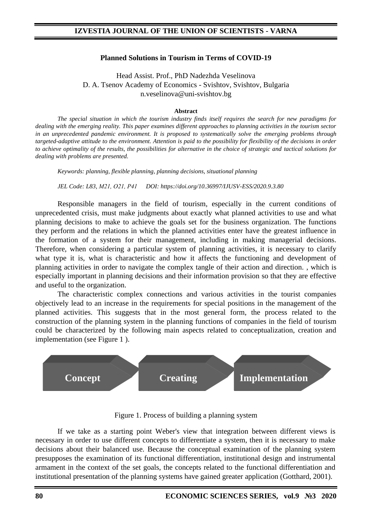#### **Planned Solutions in Tourism in Terms of COVID-19**

Head Assist. Prof., PhD Nadezhda Veselinova D. A. Tsenov Academy of Economics - Svishtov, Svishtov, Bulgaria n.veselinova@uni-svishtov.bg

#### **Abstract**

*The special situation in which the tourism industry finds itself requires the search for new paradigms for dealing with the emerging reality. This paper examines different approaches to planning activities in the tourism sector in an unprecedented pandemic environment. It is proposed to systematically solve the emerging problems through targeted-adaptive attitude to the environment. Attention is paid to the possibility for flexibility of the decisions in order to achieve optimality of the results, the possibilities for alternative in the choice of strategic and tactical solutions for dealing with problems are presented.*

*Keywords: planning, flexible planning, planning decisions, situational planning*

*JEL Code: L83, М21, О21, Р41 DOI: https://doi.org/10.36997/IJUSV-ESS/2020.9.3.80*

Responsible managers in the field of tourism, especially in the current conditions of unprecedented crisis, must make judgments about exactly what planned activities to use and what planning decisions to make to achieve the goals set for the business organization. The functions they perform and the relations in which the planned activities enter have the greatest influence in the formation of a system for their management, including in making managerial decisions. Therefore, when considering a particular system of planning activities, it is necessary to clarify what type it is, what is characteristic and how it affects the functioning and development of planning activities in order to navigate the complex tangle of their action and direction. , which is especially important in planning decisions and their information provision so that they are effective and useful to the organization.

The characteristic complex connections and various activities in the tourist companies objectively lead to an increase in the requirements for special positions in the management of the planned activities. This suggests that in the most general form, the process related to the construction of the planning system in the planning functions of companies in the field of tourism could be characterized by the following main aspects related to conceptualization, creation and implementation (see Figure 1 ).



Figure 1. Process of building a planning system

If we take as a starting point Weber's view that integration between different views is necessary in order to use different concepts to differentiate a system, then it is necessary to make decisions about their balanced use. Because the conceptual examination of the planning system presupposes the examination of its functional differentiation, institutional design and instrumental armament in the context of the set goals, the concepts related to the functional differentiation and institutional presentation of the planning systems have gained greater application (Gotthard, 2001).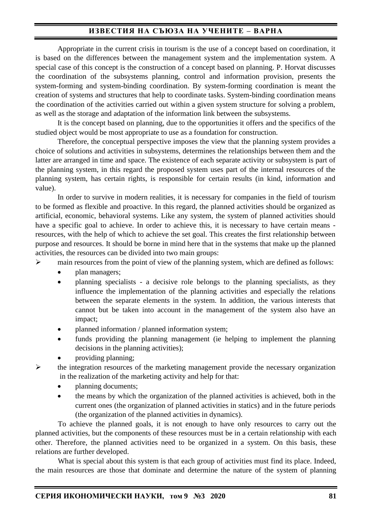# **ИЗВЕСТИЯ НА СЪЮЗА НА УЧЕНИТЕ – ВАРНА**

Appropriate in the current crisis in tourism is the use of a concept based on coordination, it is based on the differences between the management system and the implementation system. A special case of this concept is the construction of a concept based on planning. P. Horvat discusses the coordination of the subsystems planning, control and information provision, presents the system-forming and system-binding coordination. By system-forming coordination is meant the creation of systems and structures that help to coordinate tasks. System-binding coordination means the coordination of the activities carried out within a given system structure for solving a problem, as well as the storage and adaptation of the information link between the subsystems.

It is the concept based on planning, due to the opportunities it offers and the specifics of the studied object would be most appropriate to use as a foundation for construction.

Therefore, the conceptual perspective imposes the view that the planning system provides a choice of solutions and activities in subsystems, determines the relationships between them and the latter are arranged in time and space. The existence of each separate activity or subsystem is part of the planning system, in this regard the proposed system uses part of the internal resources of the planning system, has certain rights, is responsible for certain results (in kind, information and value).

In order to survive in modern realities, it is necessary for companies in the field of tourism to be formed as flexible and proactive. In this regard, the planned activities should be organized as artificial, economic, behavioral systems. Like any system, the system of planned activities should have a specific goal to achieve. In order to achieve this, it is necessary to have certain means resources, with the help of which to achieve the set goal. This creates the first relationship between purpose and resources. It should be borne in mind here that in the systems that make up the planned activities, the resources can be divided into two main groups:

➢ main resources from the point of view of the planning system, which are defined as follows:

- plan managers;
- planning specialists a decisive role belongs to the planning specialists, as they influence the implementation of the planning activities and especially the relations between the separate elements in the system. In addition, the various interests that cannot but be taken into account in the management of the system also have an impact;
- planned information / planned information system;
- funds providing the planning management (ie helping to implement the planning decisions in the planning activities);
- providing planning;

 $\triangleright$  the integration resources of the marketing management provide the necessary organization in the realization of the marketing activity and help for that:

- planning documents;
- the means by which the organization of the planned activities is achieved, both in the current ones (the organization of planned activities in statics) and in the future periods (the organization of the planned activities in dynamics).

To achieve the planned goals, it is not enough to have only resources to carry out the planned activities, but the components of these resources must be in a certain relationship with each other. Therefore, the planned activities need to be organized in a system. On this basis, these relations are further developed.

What is special about this system is that each group of activities must find its place. Indeed, the main resources are those that dominate and determine the nature of the system of planning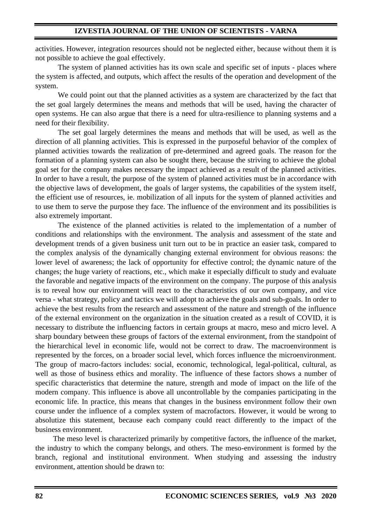activities. However, integration resources should not be neglected either, because without them it is not possible to achieve the goal effectively.

The system of planned activities has its own scale and specific set of inputs - places where the system is affected, and outputs, which affect the results of the operation and development of the system.

We could point out that the planned activities as a system are characterized by the fact that the set goal largely determines the means and methods that will be used, having the character of open systems. He can also argue that there is a need for ultra-resilience to planning systems and a need for their flexibility.

The set goal largely determines the means and methods that will be used, as well as the direction of all planning activities. This is expressed in the purposeful behavior of the complex of planned activities towards the realization of pre-determined and agreed goals. The reason for the formation of a planning system can also be sought there, because the striving to achieve the global goal set for the company makes necessary the impact achieved as a result of the planned activities. In order to have a result, the purpose of the system of planned activities must be in accordance with the objective laws of development, the goals of larger systems, the capabilities of the system itself, the efficient use of resources, ie. mobilization of all inputs for the system of planned activities and to use them to serve the purpose they face. The influence of the environment and its possibilities is also extremely important.

The existence of the planned activities is related to the implementation of a number of conditions and relationships with the environment. The analysis and assessment of the state and development trends of a given business unit turn out to be in practice an easier task, compared to the complex analysis of the dynamically changing external environment for obvious reasons: the lower level of awareness; the lack of opportunity for effective control; the dynamic nature of the changes; the huge variety of reactions, etc., which make it especially difficult to study and evaluate the favorable and negative impacts of the environment on the company. The purpose of this analysis is to reveal how our environment will react to the characteristics of our own company, and vice versa - what strategy, policy and tactics we will adopt to achieve the goals and sub-goals. In order to achieve the best results from the research and assessment of the nature and strength of the influence of the external environment on the organization in the situation created as a result of COVID, it is necessary to distribute the influencing factors in certain groups at macro, meso and micro level. A sharp boundary between these groups of factors of the external environment, from the standpoint of the hierarchical level in economic life, would not be correct to draw. The macroenvironment is represented by the forces, on a broader social level, which forces influence the microenvironment. The group of macro-factors includes: social, economic, technological, legal-political, cultural, as well as those of business ethics and morality. The influence of these factors shows a number of specific characteristics that determine the nature, strength and mode of impact on the life of the modern company. This influence is above all uncontrollable by the companies participating in the economic life. In practice, this means that changes in the business environment follow their own course under the influence of a complex system of macrofactors. However, it would be wrong to absolutize this statement, because each company could react differently to the impact of the business environment.

The meso level is characterized primarily by competitive factors, the influence of the market, the industry to which the company belongs, and others. The meso-environment is formed by the branch, regional and institutional environment. When studying and assessing the industry environment, attention should be drawn to: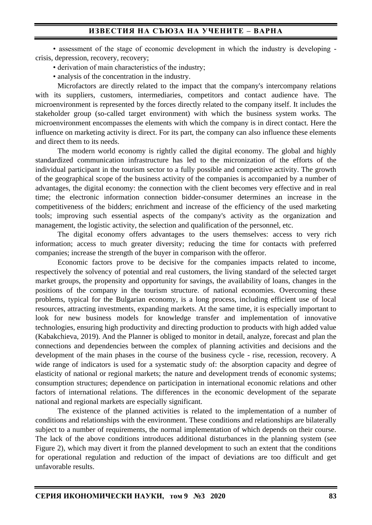• assessment of the stage of economic development in which the industry is developing crisis, depression, recovery, recovery;

- derivation of main characteristics of the industry;
- analysis of the concentration in the industry.

Microfactors are directly related to the impact that the company's intercompany relations with its suppliers, customers, intermediaries, competitors and contact audience have. The microenvironment is represented by the forces directly related to the company itself. It includes the stakeholder group (so-called target environment) with which the business system works. The microenvironment encompasses the elements with which the company is in direct contact. Here the influence on marketing activity is direct. For its part, the company can also influence these elements and direct them to its needs.

The modern world economy is rightly called the digital economy. The global and highly standardized communication infrastructure has led to the micronization of the efforts of the individual participant in the tourism sector to a fully possible and competitive activity. The growth of the geographical scope of the business activity of the companies is accompanied by a number of advantages, the digital economy: the connection with the client becomes very effective and in real time; the electronic information connection bidder-consumer determines an increase in the competitiveness of the bidders; enrichment and increase of the efficiency of the used marketing tools; improving such essential aspects of the company's activity as the organization and management, the logistic activity, the selection and qualification of the personnel, etc.

The digital economy offers advantages to the users themselves: access to very rich information; access to much greater diversity; reducing the time for contacts with preferred companies; increase the strength of the buyer in comparison with the offeror.

Economic factors prove to be decisive for the companies impacts related to income, respectively the solvency of potential and real customers, the living standard of the selected target market groups, the propensity and opportunity for savings, the availability of loans, changes in the positions of the company in the tourism structure. of national economies. Overcoming these problems, typical for the Bulgarian economy, is a long process, including efficient use of local resources, attracting investments, expanding markets. At the same time, it is especially important to look for new business models for knowledge transfer and implementation of innovative technologies, ensuring high productivity and directing production to products with high added value (Kabakchieva, 2019). And the Planner is obliged to monitor in detail, analyze, forecast and plan the connections and dependencies between the complex of planning activities and decisions and the development of the main phases in the course of the business cycle - rise, recession, recovery. A wide range of indicators is used for a systematic study of: the absorption capacity and degree of elasticity of national or regional markets; the nature and development trends of economic systems; consumption structures; dependence on participation in international economic relations and other factors of international relations. The differences in the economic development of the separate national and regional markets are especially significant.

The existence of the planned activities is related to the implementation of a number of conditions and relationships with the environment. These conditions and relationships are bilaterally subject to a number of requirements, the normal implementation of which depends on their course. The lack of the above conditions introduces additional disturbances in the planning system (see Figure 2), which may divert it from the planned development to such an extent that the conditions for operational regulation and reduction of the impact of deviations are too difficult and get unfavorable results.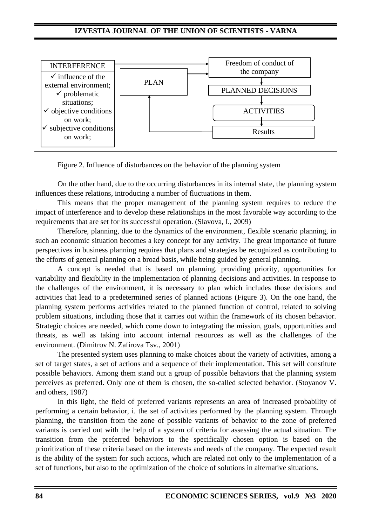## **IZVESTIA JOURNAL OF THE UNION OF SCIENTISTS - VARNA**



Figure 2. Influence of disturbances on the behavior of the planning system

On the other hand, due to the occurring disturbances in its internal state, the planning system influences these relations, introducing a number of fluctuations in them.

This means that the proper management of the planning system requires to reduce the impact of interference and to develop these relationships in the most favorable way according to the requirements that are set for its successful operation. (Slavova, I., 2009)

Therefore, planning, due to the dynamics of the environment, flexible scenario planning, in such an economic situation becomes a key concept for any activity. The great importance of future perspectives in business planning requires that plans and strategies be recognized as contributing to the efforts of general planning on a broad basis, while being guided by general planning.

A concept is needed that is based on planning, providing priority, opportunities for variability and flexibility in the implementation of planning decisions and activities. In response to the challenges of the environment, it is necessary to plan which includes those decisions and activities that lead to a predetermined series of planned actions (Figure 3). On the one hand, the planning system performs activities related to the planned function of control, related to solving problem situations, including those that it carries out within the framework of its chosen behavior. Strategic choices are needed, which come down to integrating the mission, goals, opportunities and threats, as well as taking into account internal resources as well as the challenges of the environment. (Dimitrov N. Zafirova Tsv., 2001)

The presented system uses planning to make choices about the variety of activities, among a set of target states, a set of actions and a sequence of their implementation. This set will constitute possible behaviors. Among them stand out a group of possible behaviors that the planning system perceives as preferred. Only one of them is chosen, the so-called selected behavior. (Stoyanov V. and others, 1987)

In this light, the field of preferred variants represents an area of increased probability of performing a certain behavior, i. the set of activities performed by the planning system. Through planning, the transition from the zone of possible variants of behavior to the zone of preferred variants is carried out with the help of a system of criteria for assessing the actual situation. The transition from the preferred behaviors to the specifically chosen option is based on the prioritization of these criteria based on the interests and needs of the company. The expected result is the ability of the system for such actions, which are related not only to the implementation of a set of functions, but also to the optimization of the choice of solutions in alternative situations.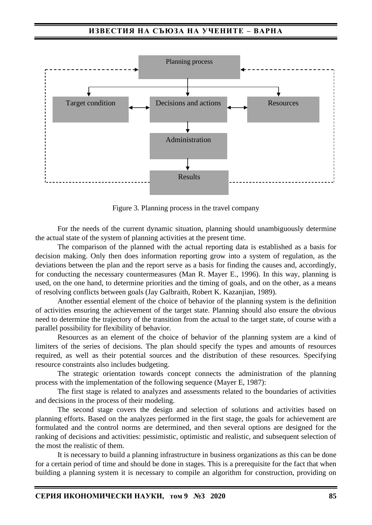

Figure 3. Planning process in the travel company

For the needs of the current dynamic situation, planning should unambiguously determine the actual state of the system of planning activities at the present time.

The comparison of the planned with the actual reporting data is established as a basis for decision making. Only then does information reporting grow into a system of regulation, as the deviations between the plan and the report serve as a basis for finding the causes and, accordingly, for conducting the necessary countermeasures (Man R. Mayer E., 1996). In this way, planning is used, on the one hand, to determine priorities and the timing of goals, and on the other, as a means of resolving conflicts between goals (Jay Galbraith, Robert K. Kazanjian, 1989).

Another essential element of the choice of behavior of the planning system is the definition of activities ensuring the achievement of the target state. Planning should also ensure the obvious need to determine the trajectory of the transition from the actual to the target state, of course with a parallel possibility for flexibility of behavior.

Resources as an element of the choice of behavior of the planning system are a kind of limiters of the series of decisions. The plan should specify the types and amounts of resources required, as well as their potential sources and the distribution of these resources. Specifying resource constraints also includes budgeting.

The strategic orientation towards concept connects the administration of the planning process with the implementation of the following sequence (Mayer E, 1987):

The first stage is related to analyzes and assessments related to the boundaries of activities and decisions in the process of their modeling.

The second stage covers the design and selection of solutions and activities based on planning efforts. Based on the analyzes performed in the first stage, the goals for achievement are formulated and the control norms are determined, and then several options are designed for the ranking of decisions and activities: pessimistic, optimistic and realistic, and subsequent selection of the most the realistic of them.

It is necessary to build a planning infrastructure in business organizations as this can be done for a certain period of time and should be done in stages. This is a prerequisite for the fact that when building a planning system it is necessary to compile an algorithm for construction, providing on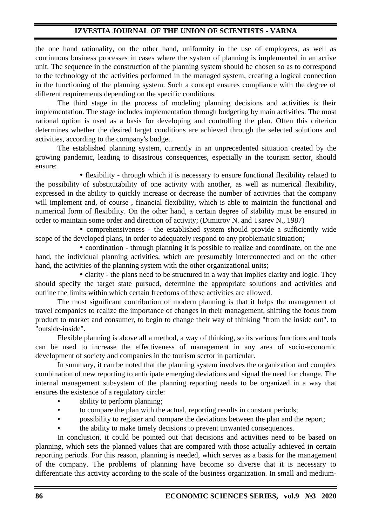## **IZVESTIA JOURNAL OF THE UNION OF SCIENTISTS - VARNA**

the one hand rationality, on the other hand, uniformity in the use of employees, as well as continuous business processes in cases where the system of planning is implemented in an active unit. The sequence in the construction of the planning system should be chosen so as to correspond to the technology of the activities performed in the managed system, creating a logical connection in the functioning of the planning system. Such a concept ensures compliance with the degree of different requirements depending on the specific conditions.

The third stage in the process of modeling planning decisions and activities is their implementation. The stage includes implementation through budgeting by main activities. The most rational option is used as a basis for developing and controlling the plan. Often this criterion determines whether the desired target conditions are achieved through the selected solutions and activities, according to the company's budget.

The established planning system, currently in an unprecedented situation created by the growing pandemic, leading to disastrous consequences, especially in the tourism sector, should ensure:

• flexibility - through which it is necessary to ensure functional flexibility related to the possibility of substitutability of one activity with another, as well as numerical flexibility, expressed in the ability to quickly increase or decrease the number of activities that the company will implement and, of course, financial flexibility, which is able to maintain the functional and numerical form of flexibility. On the other hand, a certain degree of stability must be ensured in order to maintain some order and direction of activity; (Dimitrov N. and Tsarev N., 1987)

 comprehensiveness - the established system should provide a sufficiently wide scope of the developed plans, in order to adequately respond to any problematic situation;

• coordination - through planning it is possible to realize and coordinate, on the one hand, the individual planning activities, which are presumably interconnected and on the other hand, the activities of the planning system with the other organizational units;

• clarity - the plans need to be structured in a way that implies clarity and logic. They should specify the target state pursued, determine the appropriate solutions and activities and outline the limits within which certain freedoms of these activities are allowed.

The most significant contribution of modern planning is that it helps the management of travel companies to realize the importance of changes in their management, shifting the focus from product to market and consumer, to begin to change their way of thinking "from the inside out". to "outside-inside".

Flexible planning is above all a method, a way of thinking, so its various functions and tools can be used to increase the effectiveness of management in any area of socio-economic development of society and companies in the tourism sector in particular.

In summary, it can be noted that the planning system involves the organization and complex combination of new reporting to anticipate emerging deviations and signal the need for change. The internal management subsystem of the planning reporting needs to be organized in a way that ensures the existence of a regulatory circle:

- ability to perform planning:
- to compare the plan with the actual, reporting results in constant periods;
- possibility to register and compare the deviations between the plan and the report;
- the ability to make timely decisions to prevent unwanted consequences.

In conclusion, it could be pointed out that decisions and activities need to be based on planning, which sets the planned values that are compared with those actually achieved in certain reporting periods. For this reason, planning is needed, which serves as a basis for the management of the company. The problems of planning have become so diverse that it is necessary to differentiate this activity according to the scale of the business organization. In small and medium-